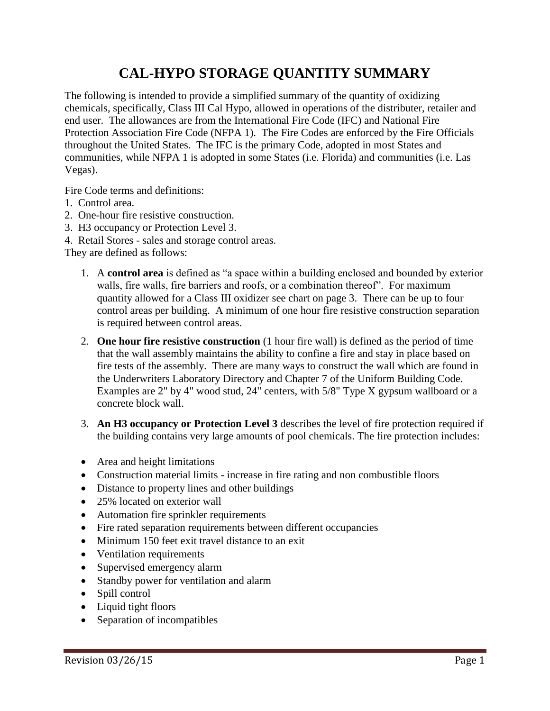# **CAL-HYPO STORAGE QUANTITY SUMMARY**

The following is intended to provide a simplified summary of the quantity of oxidizing chemicals, specifically, Class III Cal Hypo, allowed in operations of the distributer, retailer and end user. The allowances are from the International Fire Code (IFC) and National Fire Protection Association Fire Code (NFPA 1). The Fire Codes are enforced by the Fire Officials throughout the United States. The IFC is the primary Code, adopted in most States and communities, while NFPA 1 is adopted in some States (i.e. Florida) and communities (i.e. Las Vegas).

Fire Code terms and definitions:

- 1. Control area.
- 2. One-hour fire resistive construction.
- 3. H3 occupancy or Protection Level 3.
- 4. Retail Stores sales and storage control areas.

They are defined as follows:

- 1. A **control area** is defined as "a space within a building enclosed and bounded by exterior walls, fire walls, fire barriers and roofs, or a combination thereof". For maximum quantity allowed for a Class III oxidizer see chart on page 3. There can be up to four control areas per building. A minimum of one hour fire resistive construction separation is required between control areas.
- 2. **One hour fire resistive construction** (1 hour fire wall) is defined as the period of time that the wall assembly maintains the ability to confine a fire and stay in place based on fire tests of the assembly. There are many ways to construct the wall which are found in the Underwriters Laboratory Directory and Chapter 7 of the Uniform Building Code. Examples are 2" by 4" wood stud, 24" centers, with 5/8" Type X gypsum wallboard or a concrete block wall.
- 3. **An H3 occupancy or Protection Level 3** describes the level of fire protection required if the building contains very large amounts of pool chemicals. The fire protection includes:
- Area and height limitations
- Construction material limits increase in fire rating and non combustible floors
- Distance to property lines and other buildings
- 25% located on exterior wall
- Automation fire sprinkler requirements
- Fire rated separation requirements between different occupancies
- Minimum 150 feet exit travel distance to an exit
- Ventilation requirements
- Supervised emergency alarm
- Standby power for ventilation and alarm
- Spill control
- Liquid tight floors
- Separation of incompatibles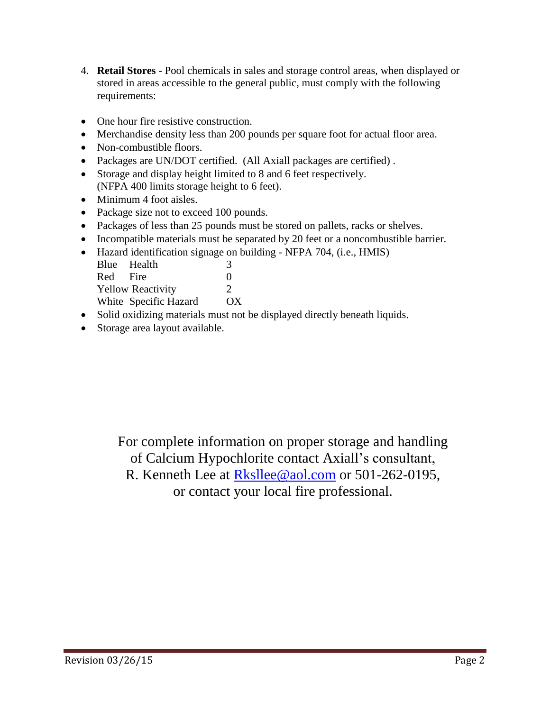- 4. **Retail Stores** Pool chemicals in sales and storage control areas, when displayed or stored in areas accessible to the general public, must comply with the following requirements:
- One hour fire resistive construction.
- Merchandise density less than 200 pounds per square foot for actual floor area.
- Non-combustible floors.
- Packages are UN/DOT certified. (All Axiall packages are certified) .
- Storage and display height limited to 8 and 6 feet respectively. (NFPA 400 limits storage height to 6 feet).
- Minimum 4 foot aisles.
- Package size not to exceed 100 pounds.
- Packages of less than 25 pounds must be stored on pallets, racks or shelves.
- Incompatible materials must be separated by 20 feet or a noncombustible barrier.
- Hazard identification signage on building NFPA 704, (i.e., HMIS)

|                          | Blue Health           | 3             |
|--------------------------|-----------------------|---------------|
| Red Fire                 |                       | $\Omega$      |
| <b>Yellow Reactivity</b> |                       | $\mathcal{D}$ |
|                          | White Specific Hazard | $\alpha x$    |

- Solid oxidizing materials must not be displayed directly beneath liquids.
- Storage area layout available.

For complete information on proper storage and handling of Calcium Hypochlorite contact Axiall's consultant, R. Kenneth Lee at [Rksllee@aol.com](mailto:Rksllee@aol.com) or 501-262-0195, or contact your local fire professional.